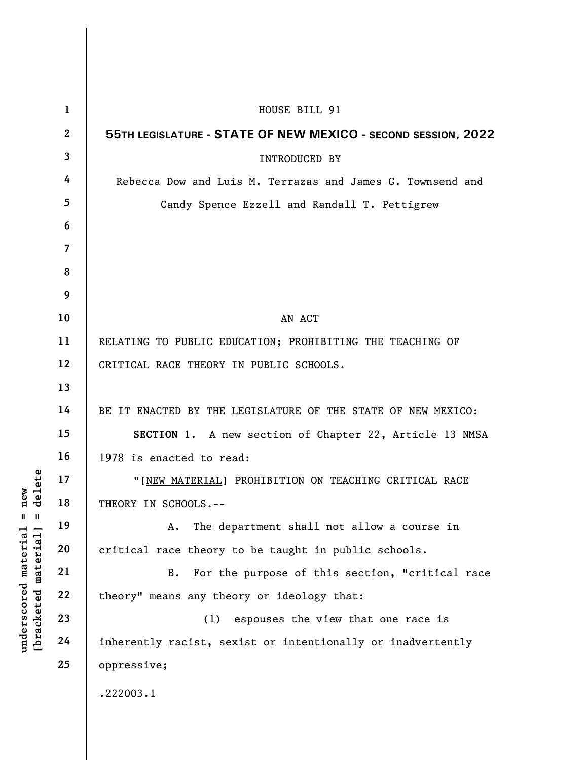|                      | $\mathbf{1}$   | HOUSE BILL 91                                                 |
|----------------------|----------------|---------------------------------------------------------------|
|                      | $\mathbf{2}$   | 55TH LEGISLATURE - STATE OF NEW MEXICO - SECOND SESSION, 2022 |
|                      | 3              | <b>INTRODUCED BY</b>                                          |
|                      | 4              | Rebecca Dow and Luis M. Terrazas and James G. Townsend and    |
|                      | 5              | Candy Spence Ezzell and Randall T. Pettigrew                  |
|                      | 6              |                                                               |
|                      | $\overline{7}$ |                                                               |
|                      | 8              |                                                               |
|                      | 9              |                                                               |
|                      | 10             | AN ACT                                                        |
|                      | 11             | RELATING TO PUBLIC EDUCATION; PROHIBITING THE TEACHING OF     |
|                      | 12             | CRITICAL RACE THEORY IN PUBLIC SCHOOLS.                       |
|                      | 13             |                                                               |
|                      | 14             | BE IT ENACTED BY THE LEGISLATURE OF THE STATE OF NEW MEXICO:  |
|                      | 15             | SECTION 1. A new section of Chapter 22, Article 13 NMSA       |
|                      | 16             | 1978 is enacted to read:                                      |
| delete               | 17             | "[NEW MATERIAL] PROHIBITION ON TEACHING CRITICAL RACE         |
| $n$ ew               | 18             | THEORY IN SCHOOLS.--                                          |
| Ш<br>Ш               | 19             | The department shall not allow a course in<br>Α.              |
| [bracketed material  | 20             | critical race theory to be taught in public schools.          |
| underscored material | 21             | For the purpose of this section, "critical race<br><b>B.</b>  |
|                      | 22             | theory" means any theory or ideology that:                    |
|                      | 23             | (1)<br>espouses the view that one race is                     |
|                      | 24             | inherently racist, sexist or intentionally or inadvertently   |
|                      | 25             | oppressive;                                                   |
|                      |                | .222003.1                                                     |
|                      |                |                                                               |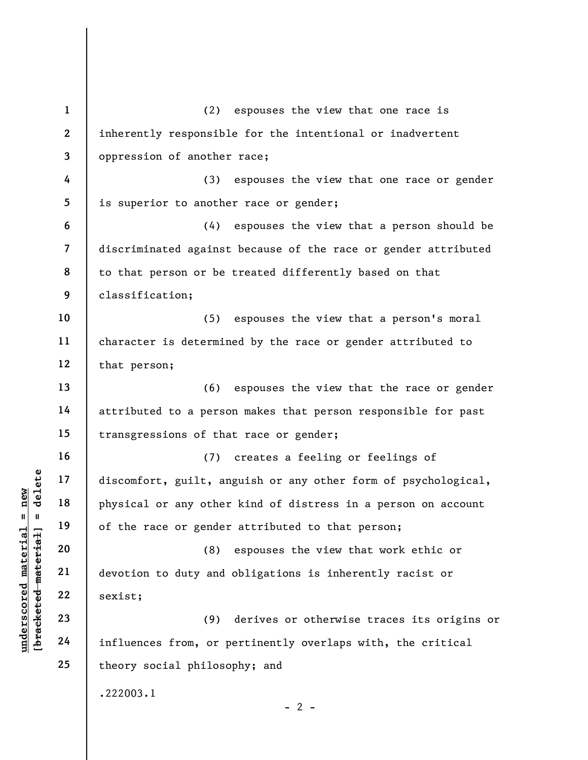understand material material exist:<br>
Wallen material physical or any other<br>
of the race or gender<br>
of the race or gender<br>
of the race or gender<br>
(8)<br>
devotion to duty and<br>
22<br>
sexist;<br>
23<br>
24<br>
influences from, or p 1 2 3 4 5 6 7 8 9 10 11 12 13 14 15 16 17 18 19 20 21 22 23 24 25 (2) espouses the view that one race is inherently responsible for the intentional or inadvertent oppression of another race; (3) espouses the view that one race or gender is superior to another race or gender; (4) espouses the view that a person should be discriminated against because of the race or gender attributed to that person or be treated differently based on that classification; (5) espouses the view that a person's moral character is determined by the race or gender attributed to that person; (6) espouses the view that the race or gender attributed to a person makes that person responsible for past transgressions of that race or gender; (7) creates a feeling or feelings of discomfort, guilt, anguish or any other form of psychological, physical or any other kind of distress in a person on account of the race or gender attributed to that person; (8) espouses the view that work ethic or devotion to duty and obligations is inherently racist or sexist; (9) derives or otherwise traces its origins or influences from, or pertinently overlaps with, the critical theory social philosophy; and .222003.1  $- 2 -$